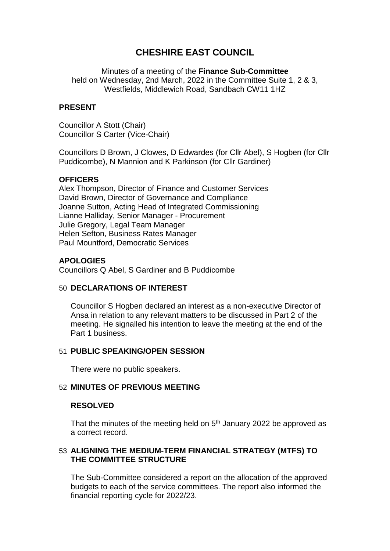# **CHESHIRE EAST COUNCIL**

Minutes of a meeting of the **Finance Sub-Committee** held on Wednesday, 2nd March, 2022 in the Committee Suite 1, 2 & 3, Westfields, Middlewich Road, Sandbach CW11 1HZ

### **PRESENT**

Councillor A Stott (Chair) Councillor S Carter (Vice-Chair)

Councillors D Brown, J Clowes, D Edwardes (for Cllr Abel), S Hogben (for Cllr Puddicombe), N Mannion and K Parkinson (for Cllr Gardiner)

### **OFFICERS**

Alex Thompson, Director of Finance and Customer Services David Brown, Director of Governance and Compliance Joanne Sutton, Acting Head of Integrated Commissioning Lianne Halliday, Senior Manager - Procurement Julie Gregory, Legal Team Manager Helen Sefton, Business Rates Manager Paul Mountford, Democratic Services

# **APOLOGIES**

Councillors Q Abel, S Gardiner and B Puddicombe

### 50 **DECLARATIONS OF INTEREST**

Councillor S Hogben declared an interest as a non-executive Director of Ansa in relation to any relevant matters to be discussed in Part 2 of the meeting. He signalled his intention to leave the meeting at the end of the Part 1 business.

### 51 **PUBLIC SPEAKING/OPEN SESSION**

There were no public speakers.

### 52 **MINUTES OF PREVIOUS MEETING**

#### **RESOLVED**

That the minutes of the meeting held on 5<sup>th</sup> January 2022 be approved as a correct record.

### 53 **ALIGNING THE MEDIUM-TERM FINANCIAL STRATEGY (MTFS) TO THE COMMITTEE STRUCTURE**

The Sub-Committee considered a report on the allocation of the approved budgets to each of the service committees. The report also informed the financial reporting cycle for 2022/23.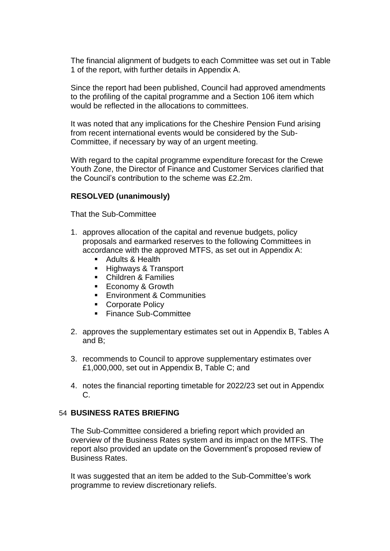The financial alignment of budgets to each Committee was set out in Table 1 of the report, with further details in Appendix A.

Since the report had been published, Council had approved amendments to the profiling of the capital programme and a Section 106 item which would be reflected in the allocations to committees.

It was noted that any implications for the Cheshire Pension Fund arising from recent international events would be considered by the Sub-Committee, if necessary by way of an urgent meeting.

With regard to the capital programme expenditure forecast for the Crewe Youth Zone, the Director of Finance and Customer Services clarified that the Council's contribution to the scheme was £2.2m.

### **RESOLVED (unanimously)**

That the Sub-Committee

- 1. approves allocation of the capital and revenue budgets, policy proposals and earmarked reserves to the following Committees in accordance with the approved MTFS, as set out in Appendix A:
	- Adults & Health
	- **Highways & Transport**
	- **EXEC** Children & Families
	- **Economy & Growth**
	- **Environment & Communities**
	- **Corporate Policy**
	- Finance Sub-Committee
- 2. approves the supplementary estimates set out in Appendix B, Tables A and B;
- 3. recommends to Council to approve supplementary estimates over £1,000,000, set out in Appendix B, Table C; and
- 4. notes the financial reporting timetable for 2022/23 set out in Appendix C.

# 54 **BUSINESS RATES BRIEFING**

The Sub-Committee considered a briefing report which provided an overview of the Business Rates system and its impact on the MTFS. The report also provided an update on the Government's proposed review of Business Rates.

It was suggested that an item be added to the Sub-Committee's work programme to review discretionary reliefs.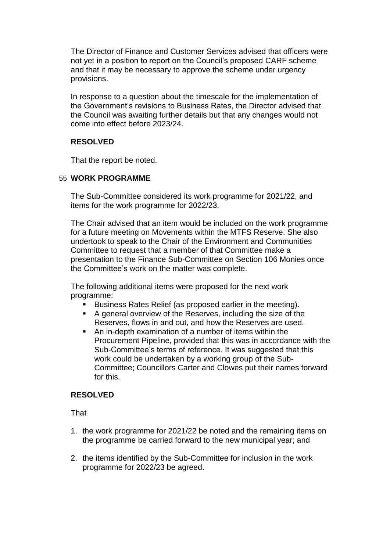The Director of Finance and Customer Services advised that officers were not yet in a position to report on the Council's proposed CARF scheme and that it may be necessary to approve the scheme under urgency provisions.

In response to a question about the timescale for the implementation of the Government's revisions to Business Rates, the Director advised that the Council was awaiting further details but that any changes would not come into effect before 2023/24.

# **RESOLVED**

That the report be noted.

# 55 **WORK PROGRAMME**

The Sub-Committee considered its work programme for 2021/22, and items for the work programme for 2022/23.

The Chair advised that an item would be included on the work programme for a future meeting on Movements within the MTFS Reserve. She also undertook to speak to the Chair of the Environment and Communities Committee to request that a member of that Committee make a presentation to the Finance Sub-Committee on Section 106 Monies once the Committee's work on the matter was complete.

The following additional items were proposed for the next work programme:

- Business Rates Relief (as proposed earlier in the meeting).
- A general overview of the Reserves, including the size of the Reserves, flows in and out, and how the Reserves are used.
- An in-depth examination of a number of items within the Procurement Pipeline, provided that this was in accordance with the Sub-Committee's terms of reference. It was suggested that this work could be undertaken by a working group of the Sub-Committee; Councillors Carter and Clowes put their names forward for this.

# **RESOLVED**

**That** 

- 1. the work programme for 2021/22 be noted and the remaining items on the programme be carried forward to the new municipal year; and
- 2. the items identified by the Sub-Committee for inclusion in the work programme for 2022/23 be agreed.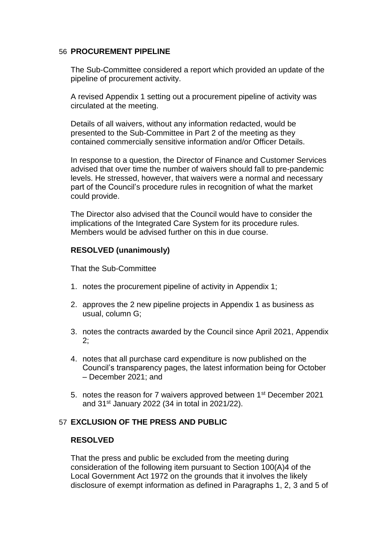### 56 **PROCUREMENT PIPELINE**

The Sub-Committee considered a report which provided an update of the pipeline of procurement activity.

A revised Appendix 1 setting out a procurement pipeline of activity was circulated at the meeting.

Details of all waivers, without any information redacted, would be presented to the Sub-Committee in Part 2 of the meeting as they contained commercially sensitive information and/or Officer Details.

In response to a question, the Director of Finance and Customer Services advised that over time the number of waivers should fall to pre-pandemic levels. He stressed, however, that waivers were a normal and necessary part of the Council's procedure rules in recognition of what the market could provide.

The Director also advised that the Council would have to consider the implications of the Integrated Care System for its procedure rules. Members would be advised further on this in due course.

# **RESOLVED (unanimously)**

That the Sub-Committee

- 1. notes the procurement pipeline of activity in Appendix 1;
- 2. approves the 2 new pipeline projects in Appendix 1 as business as usual, column G;
- 3. notes the contracts awarded by the Council since April 2021, Appendix 2;
- 4. notes that all purchase card expenditure is now published on the Council's transparency pages, the latest information being for October – December 2021; and
- 5. notes the reason for 7 waivers approved between 1st December 2021 and 31st January 2022 (34 in total in 2021/22).

# 57 **EXCLUSION OF THE PRESS AND PUBLIC**

# **RESOLVED**

That the press and public be excluded from the meeting during consideration of the following item pursuant to Section 100(A)4 of the Local Government Act 1972 on the grounds that it involves the likely disclosure of exempt information as defined in Paragraphs 1, 2, 3 and 5 of